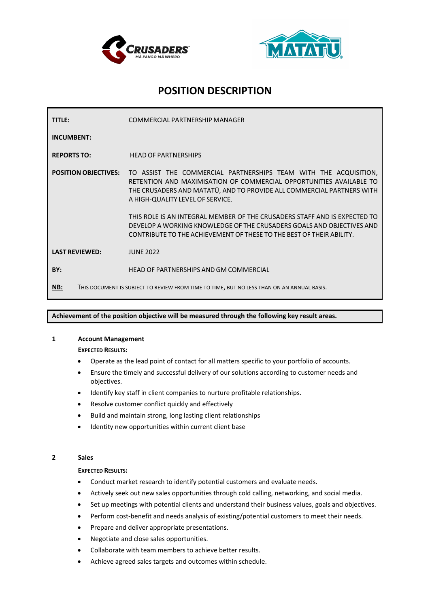



# **POSITION DESCRIPTION**

| TITLE:                                                                                            | COMMERCIAL PARTNERSHIP MANAGER                                                                                                                                                                                                                                                   |
|---------------------------------------------------------------------------------------------------|----------------------------------------------------------------------------------------------------------------------------------------------------------------------------------------------------------------------------------------------------------------------------------|
| <b>INCUMBENT:</b>                                                                                 |                                                                                                                                                                                                                                                                                  |
| <b>REPORTS TO:</b>                                                                                | <b>HEAD OF PARTNERSHIPS</b>                                                                                                                                                                                                                                                      |
|                                                                                                   | <b>POSITION OBJECTIVES:</b> TO ASSIST THE COMMERCIAL PARTNERSHIPS TEAM WITH THE ACQUISITION,<br>RETENTION AND MAXIMISATION OF COMMERCIAL OPPORTUNITIES AVAILABLE TO<br>THE CRUSADERS AND MATATU, AND TO PROVIDE ALL COMMERCIAL PARTNERS WITH<br>A HIGH-QUALITY LEVEL OF SERVICE. |
|                                                                                                   | THIS ROLE IS AN INTEGRAL MEMBER OF THE CRUSADERS STAFF AND IS EXPECTED TO<br>DEVELOP A WORKING KNOWLEDGE OF THE CRUSADERS GOALS AND OBJECTIVES AND<br>CONTRIBUTE TO THE ACHIEVEMENT OF THESE TO THE BEST OF THEIR ABILITY.                                                       |
| <b>LAST REVIEWED:</b>                                                                             | <b>JUNE 2022</b>                                                                                                                                                                                                                                                                 |
| BY:                                                                                               | HEAD OF PARTNERSHIPS AND GM COMMERCIAL                                                                                                                                                                                                                                           |
| NB:<br>THIS DOCUMENT IS SUBJECT TO REVIEW FROM TIME TO TIME, BUT NO LESS THAN ON AN ANNUAL BASIS. |                                                                                                                                                                                                                                                                                  |

# **Achievement of the position objective will be measured through the following key result areas.**

# **1 Account Management**

**EXPECTED RESULTS:**

- Operate as the lead point of contact for all matters specific to your portfolio of accounts.
- Ensure the timely and successful delivery of our solutions according to customer needs and objectives.
- Identify key staff in client companies to nurture profitable relationships.
- Resolve customer conflict quickly and effectively
- Build and maintain strong, long lasting client relationships
- Identity new opportunities within current client base

#### **2 Sales**

#### **EXPECTED RESULTS:**

- Conduct market research to identify potential customers and evaluate needs.
- Actively seek out new sales opportunities through cold calling, networking, and social media.
- Set up meetings with potential clients and understand their business values, goals and objectives.
- Perform cost-benefit and needs analysis of existing/potential customers to meet their needs.
- Prepare and deliver appropriate presentations.
- Negotiate and close sales opportunities.
- Collaborate with team members to achieve better results.
- Achieve agreed sales targets and outcomes within schedule.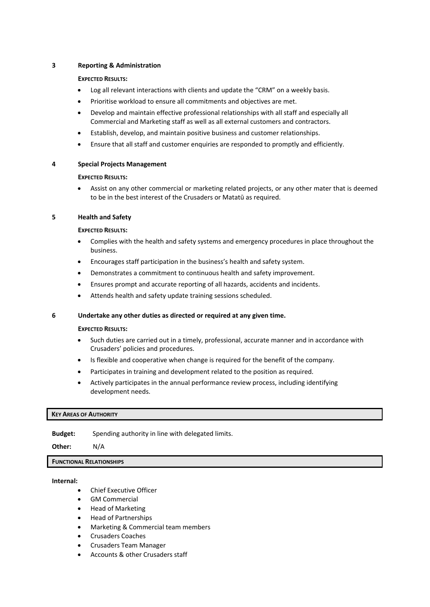# **3 Reporting & Administration**

#### **EXPECTED RESULTS:**

- Log all relevant interactions with clients and update the "CRM" on a weekly basis.
- Prioritise workload to ensure all commitments and objectives are met.
- Develop and maintain effective professional relationships with all staff and especially all Commercial and Marketing staff as well as all external customers and contractors.
- Establish, develop, and maintain positive business and customer relationships.
- Ensure that all staff and customer enquiries are responded to promptly and efficiently.

# **4 Special Projects Management**

# **EXPECTED RESULTS:**

• Assist on any other commercial or marketing related projects, or any other mater that is deemed to be in the best interest of the Crusaders or Matatū as required.

# **5 Health and Safety**

# **EXPECTED RESULTS:**

- Complies with the health and safety systems and emergency procedures in place throughout the business.
- Encourages staff participation in the business's health and safety system.
- Demonstrates a commitment to continuous health and safety improvement.
- Ensures prompt and accurate reporting of all hazards, accidents and incidents.
- Attends health and safety update training sessions scheduled.

# **6 Undertake any other duties as directed or required at any given time.**

# **EXPECTED RESULTS:**

- Such duties are carried out in a timely, professional, accurate manner and in accordance with Crusaders' policies and procedures.
- Is flexible and cooperative when change is required for the benefit of the company.
- Participates in training and development related to the position as required.
- Actively participates in the annual performance review process, including identifying development needs.

# **KEY AREAS OF AUTHORITY**

**Budget:** Spending authority in line with delegated limits.

**Other:** N/A

# **FUNCTIONAL RELATIONSHIPS**

# **Internal:**

- Chief Executive Officer
- GM Commercial
- Head of Marketing
- Head of Partnerships
- Marketing & Commercial team members
- Crusaders Coaches
- Crusaders Team Manager
- Accounts & other Crusaders staff